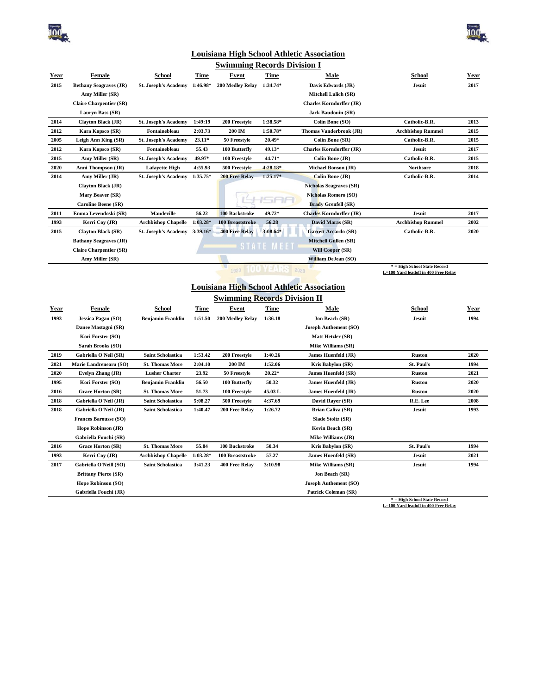



## **Louisiana High School Athletic Association**

| <b>Swimming Records Division I</b> |                                |                             |            |                         |                   |                                 |                                                                      |      |
|------------------------------------|--------------------------------|-----------------------------|------------|-------------------------|-------------------|---------------------------------|----------------------------------------------------------------------|------|
| Year                               | Female                         | <b>School</b>               | Time       | Event                   | <b>Time</b>       | Male                            | <b>School</b>                                                        | Year |
| 2015                               | <b>Bethany Seagraves (JR)</b>  | <b>St. Joseph's Academy</b> | 1:46.98*   | 200 Medley Relay        | $1:34.74*$        | Davis Edwards (JR)              | <b>Jesuit</b>                                                        | 2017 |
|                                    | Amy Miller (SR)                |                             |            |                         |                   | Mitchell Lulich (SR)            |                                                                      |      |
|                                    | <b>Claire Charpentier (SR)</b> |                             |            |                         |                   | <b>Charles Korndorffer (JR)</b> |                                                                      |      |
|                                    | Lauryn Bass (SR)               |                             |            |                         |                   | <b>Jack Baudouin (SR)</b>       |                                                                      |      |
| 2014                               | <b>Clayton Black (JR)</b>      | <b>St. Joseph's Academy</b> | 1:49:19    | 200 Freestyle           | 1:38.58*          | Colin Bone (SO)                 | Catholic-B.R.                                                        | 2013 |
| 2012                               | Kara Kopsco (SR)               | Fontainebleau               | 2:03.73    | 200 IM                  | $1:50.78*$        | Thomas Vanderbrook (JR)         | <b>Archbishop Rummel</b>                                             | 2015 |
| 2005                               | Leigh Ann King (SR)            | <b>St. Joseph's Academy</b> | $23.11*$   | 50 Freestyle            | 20.49*            | Colin Bone (SR)                 | Catholic-B.R.                                                        | 2015 |
| 2012                               | Kara Kopsco (SR)               | Fontainebleau               | 55.43      | 100 Butterfly           | 49.13*            | <b>Charles Korndorffer (JR)</b> | <b>Jesuit</b>                                                        | 2017 |
| 2015                               | Amy Miller (SR)                | <b>St. Joseph's Academy</b> | 49.97*     | 100 Freestyle           | 44.71*            | Colin Bone (JR)                 | Catholic-B.R.                                                        | 2015 |
| 2020                               | Anni Thompson (JR)             | <b>Lafavette High</b>       | 4:55.93    | 500 Freestyle           | $4:28.18*$        | <b>Michael Bonson (JR)</b>      | <b>Northsore</b>                                                     | 2018 |
| 2014                               | Amy Miller (JR)                | <b>St. Joseph's Academy</b> | $1:35.75*$ | <b>200 Free Relay</b>   | $1:25.17*$        | Colin Bone (JR)                 | Catholic-B.R.                                                        | 2014 |
|                                    | <b>Clayton Black (JR)</b>      |                             |            |                         |                   | <b>Nicholas Seagraves (SR)</b>  |                                                                      |      |
|                                    | Mary Beaver (SR)               |                             |            |                         |                   | <b>Nicholas Romero (SO)</b>     |                                                                      |      |
|                                    | <b>Caroline Beene (SR)</b>     |                             |            |                         |                   | <b>Brady Grenfell (SR)</b>      |                                                                      |      |
| 2011                               | Emma Levendoski (SR)           | <b>Mandeville</b>           | 56.22      | 100 Backstroke          | 49.72*            | <b>Charles Korndorffer (JR)</b> | <b>Jesuit</b>                                                        | 2017 |
| 1993                               | Kerri Cov (JR)                 | <b>Archbishop Chapelle</b>  | 1:03.28*   | <b>100 Breaststroke</b> | 56.28             | David Maras (SR)                | <b>Archbishop Rummel</b>                                             | 2002 |
| 2015                               | <b>Clayton Black (SR)</b>      | <b>St. Joseph's Academy</b> | $3:39.16*$ | <b>400 Free Relay</b>   | $3:08.64*$        | <b>Garrett Accardo (SR)</b>     | Catholic-B.R.                                                        | 2020 |
|                                    | <b>Bathany Seagraves (JR)</b>  |                             |            |                         |                   | <b>Mitchell Gullen (SR)</b>     |                                                                      |      |
|                                    | <b>Claire Charpentier (SR)</b> |                             |            |                         | <b>STATE MEET</b> | <b>Will Cooper (SR)</b>         |                                                                      |      |
|                                    | Amy Miller (SR)                |                             |            |                         |                   | <b>William DeJean (SO)</b>      |                                                                      |      |
|                                    |                                |                             |            | 1920                    |                   | 2020                            | * = High School State Record<br>L=100 Yard leadoff in 400 Free Relay |      |
|                                    |                                |                             |            |                         |                   |                                 |                                                                      |      |

## **Louisiana High School Athletic Association**

| <b>Swimming Records Division II</b> |                              |                            |          |                         |             |                             |               |      |
|-------------------------------------|------------------------------|----------------------------|----------|-------------------------|-------------|-----------------------------|---------------|------|
| Year                                | Female                       | <b>School</b>              | Time     | Event                   | <b>Time</b> | Male                        | <b>School</b> | Year |
| 1993                                | <b>Jessica Pagan (SO)</b>    | <b>Benjamin Franklin</b>   | 1:51.50  | <b>200 Medley Relay</b> | 1:36.18     | Jon Beach (SR)              | <b>Jesuit</b> | 1994 |
|                                     | Danee Mastagni (SR)          |                            |          |                         |             | Joseph Authement (SO)       |               |      |
|                                     | Kori Forster (SO)            |                            |          |                         |             | Matt Hetzler (SR)           |               |      |
|                                     | Sarah Brooks (SO)            |                            |          |                         |             | <b>Mike Williams (SR)</b>   |               |      |
| 2019                                | Gabriella O'Neil (SR)        | <b>Saint Scholastica</b>   | 1:53.42  | 200 Freestyle           | 1:40.26     | <b>James Huenfeld (JR)</b>  | <b>Ruston</b> | 2020 |
| 2021                                | Marie Landrenearu (SO)       | <b>St. Thomas More</b>     | 2:04.10  | 200 IM                  | 1:52.06     | Kris Babylon (SR)           | St. Paul's    | 1994 |
| 2020                                | Evelyn Zhang (JR)            | <b>Lusher Charter</b>      | 23.92    | 50 Freestyle            | $20.22*$    | <b>James Huenfeld (SR)</b>  | <b>Ruston</b> | 2021 |
| 1995                                | Kori Forster (SO)            | <b>Benjamin Franklin</b>   | 56.50    | 100 Butterfly           | 50.32       | James Huenfeld (JR)         | <b>Ruston</b> | 2020 |
| 2016                                | <b>Grace Horton (SR)</b>     | <b>St. Thomas More</b>     | 51.73    | 100 Freestyle           | 45.03L      | James Huenfeld (JR)         | <b>Ruston</b> | 2020 |
| 2018                                | Gabriella O'Neil (JR)        | <b>Saint Scholastica</b>   | 5:08.27  | 500 Freestyle           | 4:37.69     | David Rayer (SR)            | R.E. Lee      | 2008 |
| 2018                                | Gabriella O'Neil (JR)        | <b>Saint Scholastica</b>   | 1:40.47  | 200 Free Relay          | 1:26.72     | <b>Brian Caliva (SR)</b>    | <b>Jesuit</b> | 1993 |
|                                     | <b>Frances Barousse (SO)</b> |                            |          |                         |             | Slade Stoltz (SR)           |               |      |
|                                     | Hope Robinson (JR)           |                            |          |                         |             | Kevin Beach (SR)            |               |      |
|                                     | Gabriella Fouchi (SR)        |                            |          |                         |             | <b>Mike Williams (JR)</b>   |               |      |
| 2016                                | <b>Grace Horton (SR)</b>     | <b>St. Thomas More</b>     | 55.84    | 100 Backstroke          | 50.34       | Kris Babylon (SR)           | St. Paul's    | 1994 |
| 1993                                | Kerri Cov (JR)               | <b>Archbishop Chapelle</b> | 1:03.28* | 100 Breaststroke        | 57.27       | <b>James Huenfeld (SR)</b>  | <b>Jesuit</b> | 2021 |
| 2017                                | Gabriella O'Neill (SO)       | <b>Saint Scholastica</b>   | 3:41.23  | 400 Free Relay          | 3:10.98     | <b>Mike Williams (SR)</b>   | <b>Jesuit</b> | 1994 |
|                                     | <b>Brittany Pierce (SR)</b>  |                            |          |                         |             | Jon Beach (SR)              |               |      |
|                                     | <b>Hope Robinson (SO)</b>    |                            |          |                         |             | Joseph Authement (SO)       |               |      |
|                                     | Gabriella Fouchi (JR)        |                            |          |                         |             | <b>Patrick Coleman (SR)</b> |               |      |

**\* = High School State Record L=100 Yard leadoff in 400 Free Relay**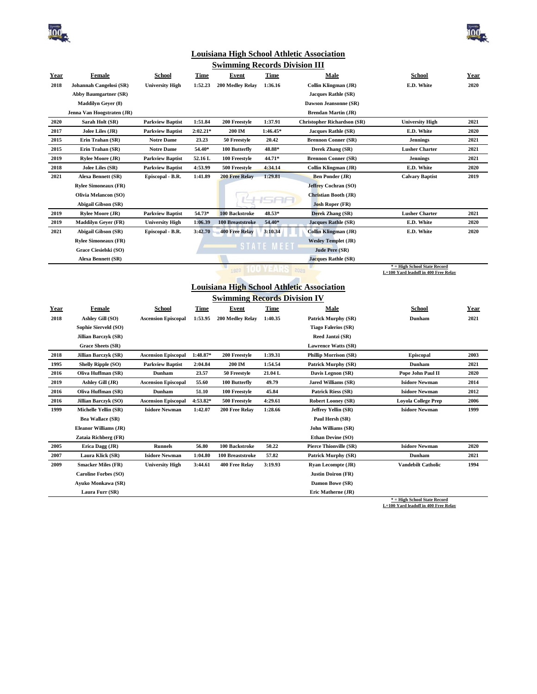



**\* = High School State Record L=100 Yard leadoff in 400 Free Relay**

## **Louisiana High School Athletic Association**

|             |                              |                            |             | <b>Swimming Records Division III</b> |            |                                                   |                                                                      |      |
|-------------|------------------------------|----------------------------|-------------|--------------------------------------|------------|---------------------------------------------------|----------------------------------------------------------------------|------|
| <u>Year</u> | Female                       | <b>School</b>              | <u>Time</u> | Event                                | Time       | Male                                              | School                                                               | Year |
| 2018        | Johannah Cangelosi (SR)      | <b>University High</b>     | 1:52.23     | 200 Medlev Relay                     | 1:36.16    | Collin Klingman (JR)                              | E.D. White                                                           | 2020 |
|             | <b>Abby Baumgartner (SR)</b> |                            |             |                                      |            | <b>Jacques Rathle (SR)</b>                        |                                                                      |      |
|             | <b>Maddilyn Gever (8)</b>    |                            |             |                                      |            | Dawson Jeansonne (SR)                             |                                                                      |      |
|             | Jenna Van Hoogstraten (JR)   |                            |             |                                      |            | <b>Brendan Martin (JR)</b>                        |                                                                      |      |
| 2020        | Sarah Holt (SR)              | <b>Parkview Baptist</b>    | 1:51.84     | 200 Freestyle                        | 1:37.91    | <b>Christopher Richardson (SR)</b>                | <b>University High</b>                                               | 2021 |
| 2017        | Jolee Liles (JR)             | <b>Parkview Baptist</b>    | $2:02.21*$  | 200 IM                               | 1:46.45*   | <b>Jacques Rathle (SR)</b>                        | E.D. White                                                           | 2020 |
| 2015        | Erin Trahan (SR)             | <b>Notre Dame</b>          | 23.23       | 50 Freestyle                         | 20.42      | <b>Brennon Conner (SR)</b>                        | <b>Jennings</b>                                                      | 2021 |
| 2015        | Erin Trahan (SR)             | <b>Notre Dame</b>          | 54.40*      | 100 Butterfly                        | 48.88*     | Derek Zhang (SR)                                  | <b>Lusher Charter</b>                                                | 2021 |
| 2019        | <b>Rylee Moore (JR)</b>      | <b>Parkview Baptist</b>    | 52.16 L     | 100 Freestyle                        | 44.71*     | <b>Brennon Conner (SR)</b>                        | <b>Jennings</b>                                                      | 2021 |
| 2018        | Jolee Liles (SR)             | <b>Parkview Baptist</b>    | 4:53.99     | 500 Freestyle                        | 4:34.14    | Collin Klingman (JR)                              | E.D. White                                                           | 2020 |
| 2021        | Alexa Bennett (SR)           | Episcopal - B.R.           | 1:41.89     | <b>200 Free Relay</b>                | 1:29.81    | <b>Ben Ponder (JR)</b>                            | <b>Calvary Baptist</b>                                               | 2019 |
|             | <b>Rylee Simoneaux (FR)</b>  |                            |             |                                      |            | Jeffrey Cochran (SO)                              |                                                                      |      |
|             | <b>Olivia Melancon (SO)</b>  |                            |             |                                      |            | Christian Booth (JR)                              |                                                                      |      |
|             | <b>Abigail Gibson (SR)</b>   |                            |             |                                      |            | <b>Josh Roper (FR)</b>                            |                                                                      |      |
| 2019        | <b>Rylee Moore (JR)</b>      | <b>Parkview Baptist</b>    | 54.73*      | <b>100 Backstroke</b>                | 48.53*     | Derek Zhang (SR)                                  | <b>Lusher Charter</b>                                                | 2021 |
| 2019        | <b>Maddilyn Gever (FR)</b>   | <b>University High</b>     | 1:06.39     | <b>100 Breaststroke</b>              | 54.40*     | <b>Jacques Rathle (SR)</b>                        | E.D. White                                                           | 2020 |
| 2021        | Abigail Gibson (SR)          | Episcopal - B.R.           | 3:42.70     | <b>400 Free Relay</b>                | 3:10.34    | <b>Collin Klingman (JR)</b>                       | E.D. White                                                           | 2020 |
|             | <b>Rylee Simoneaux (FR)</b>  |                            |             |                                      |            | <b>Wesley Templet (JR)</b>                        |                                                                      |      |
|             | Grace Ciesielski (SO)        |                            |             |                                      | STATE MEET | Jude Pere (SR)                                    |                                                                      |      |
|             | <b>Alexa Bennett (SR)</b>    |                            |             |                                      |            | <b>Jacques Rathle (SR)</b>                        |                                                                      |      |
|             |                              |                            |             | 1920                                 |            | 2020                                              | * = High School State Record<br>L=100 Yard leadoff in 400 Free Relay |      |
|             |                              |                            |             |                                      |            |                                                   |                                                                      |      |
|             |                              |                            |             |                                      |            | <b>Louisiana High School Athletic Association</b> |                                                                      |      |
|             |                              |                            |             | <b>Swimming Records Division IV</b>  |            |                                                   |                                                                      |      |
| <b>Year</b> | Female                       | School                     | <b>Time</b> | Event                                | Time       | Male                                              | School                                                               | Year |
| 2018        | Ashley Gill (SO)             | <b>Ascension Episcopal</b> | 1:53.95     | 200 Medley Relay                     | 1:40.35    | <b>Patrick Murphy (SR)</b>                        | Dunham                                                               | 2021 |
|             | Sophie Sierveld (SO)         |                            |             |                                      |            | <b>Tiago Falerios (SR)</b>                        |                                                                      |      |
|             | <b>Jillian Barczyk (SR)</b>  |                            |             |                                      |            | Reed Jantzi (SR)                                  |                                                                      |      |
|             | Grace Sheets (SR)            |                            |             |                                      |            | <b>Lawrence Watts (SR)</b>                        |                                                                      |      |
| 2018        | Jillian Barczyk (SR)         | <b>Ascension Episcopal</b> | 1:48.87*    | 200 Freestyle                        | 1:39.31    | <b>Phillip Morrison (SR)</b>                      | <b>Episcopal</b>                                                     | 2003 |
| 1995        | <b>Shelly Ripple (SO)</b>    | <b>Parkview Baptist</b>    | 2:04.84     | 200 IM                               | 1:54.54    | <b>Patrick Murphy (SR)</b>                        | Dunham                                                               | 2021 |
| 2016        | Oliva Huffman (SR)           | Dunham                     | 23.57       | 50 Freestyle                         | 21.04 L    | Davis Legnon (SR)                                 | Pope John Paul II                                                    | 2020 |
| 2019        | Ashley Gill (JR)             | <b>Ascension Episcopal</b> | 55.60       | 100 Butterfly                        | 49.79      | <b>Jared Williams (SR)</b>                        | <b>Isidore Newman</b>                                                | 2014 |
| 2016        | Oliva Huffman (SR)           | Dunham                     | 51.10       | 100 Freestyle                        | 45.84      | <b>Patrick Riess (SR)</b>                         | <b>Isidore Newman</b>                                                | 2012 |

**2016 Jillian Barczyk (SO) Ascension Episcopal 4:53.82\* 500 Freestyle 4:29.61 Robert Looney (SR) Loyola College Prep 2006 1999 Michelle Yellin (SR) Isidore Newman 1:42.07 200 Free Relay 1:28.66 Jeffrey Yellin (SR) Isidore Newman 1999**

**2005 Erica Dagg (JR) Runnels 56.80 100 Backstroke 50.22 Pierce Thionville (SR) Isidore Newman 2020 2007 Laura Klick (SR) Isidore Newman 1:04.80 100 Breaststroke 57.82 Patrick Murphy (SR) Dunham 2021 2009 Smacker Miles (FR) University High 3:44.61 400 Free Relay 3:19.93 Ryan Lecompte (JR) Vandebilt Catholic 1994**

**Bea Wallace (SR) Paul Hersh (SR) Eleanor Williams (JR) John Williams (SR) Zataia Richberg (FR) Ethan Devine (SO)**

**Caroline Forbes (SO) Justin Doiron (FR) Ayuko Monkawa (SR) Damon Bowe (SR) Laura Furr (SR) Eric Matherne (JR)**